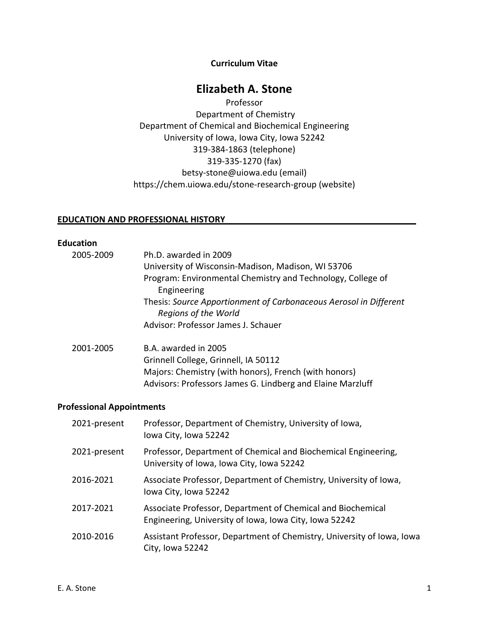#### **Curriculum Vitae**

# **Elizabeth A. Stone**

Professor Department of Chemistry Department of Chemical and Biochemical Engineering University of Iowa, Iowa City, Iowa 52242 319-384-1863 (telephone) 319-335-1270 (fax) betsy-stone@uiowa.edu (email) https://chem.uiowa.edu/stone-research-group (website)

#### **EDUCATION AND PROFESSIONAL HISTORY\_\_\_\_\_\_\_\_\_\_\_\_\_\_\_\_\_\_\_\_\_\_\_\_\_\_\_\_\_\_\_\_\_\_\_\_\_\_\_\_**

#### **Education**

| 2005-2009 | Ph.D. awarded in 2009                                                                     |
|-----------|-------------------------------------------------------------------------------------------|
|           | University of Wisconsin-Madison, Madison, WI 53706                                        |
|           | Program: Environmental Chemistry and Technology, College of<br>Engineering                |
|           | Thesis: Source Apportionment of Carbonaceous Aerosol in Different<br>Regions of the World |
|           | Advisor: Professor James J. Schauer                                                       |
| 2001-2005 | B.A. awarded in 2005                                                                      |
|           | Grinnell College, Grinnell, IA 50112                                                      |
|           | Majors: Chemistry (with honors), French (with honors)                                     |
|           | Advisors: Professors James G. Lindberg and Elaine Marzluff                                |

# **Professional Appointments**

| 2021-present | Professor, Department of Chemistry, University of Iowa,<br>lowa City, Iowa 52242                                      |
|--------------|-----------------------------------------------------------------------------------------------------------------------|
| 2021-present | Professor, Department of Chemical and Biochemical Engineering,<br>University of Iowa, Iowa City, Iowa 52242           |
| 2016-2021    | Associate Professor, Department of Chemistry, University of Iowa,<br>lowa City, Iowa 52242                            |
| 2017-2021    | Associate Professor, Department of Chemical and Biochemical<br>Engineering, University of Iowa, Iowa City, Iowa 52242 |
| 2010-2016    | Assistant Professor, Department of Chemistry, University of Iowa, Iowa<br>City, Iowa 52242                            |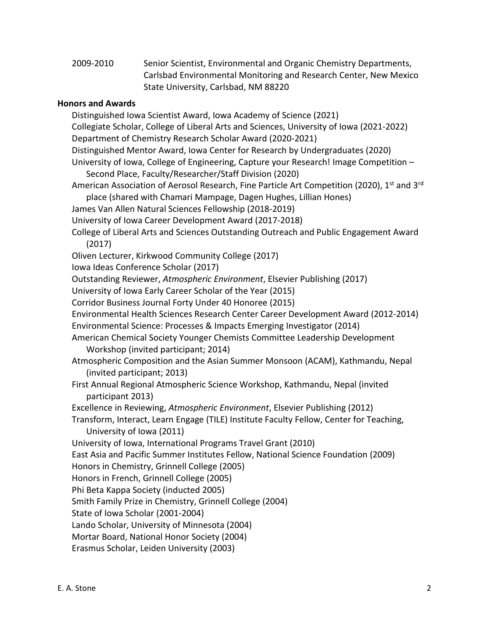2009-2010 Senior Scientist, Environmental and Organic Chemistry Departments, Carlsbad Environmental Monitoring and Research Center, New Mexico State University, Carlsbad, NM 88220

# **Honors and Awards**

Distinguished Iowa Scientist Award, Iowa Academy of Science (2021) Collegiate Scholar, College of Liberal Arts and Sciences, University of Iowa (2021-2022) Department of Chemistry Research Scholar Award (2020-2021) Distinguished Mentor Award, Iowa Center for Research by Undergraduates (2020) University of Iowa, College of Engineering, Capture your Research! Image Competition – Second Place, Faculty/Researcher/Staff Division (2020) American Association of Aerosol Research, Fine Particle Art Competition (2020), 1<sup>st</sup> and 3<sup>rd</sup> place (shared with Chamari Mampage, Dagen Hughes, Lillian Hones) James Van Allen Natural Sciences Fellowship (2018-2019) University of Iowa Career Development Award (2017-2018) College of Liberal Arts and Sciences Outstanding Outreach and Public Engagement Award (2017) Oliven Lecturer, Kirkwood Community College (2017) Iowa Ideas Conference Scholar (2017) Outstanding Reviewer, *Atmospheric Environment*, Elsevier Publishing (2017) University of Iowa Early Career Scholar of the Year (2015) Corridor Business Journal Forty Under 40 Honoree (2015) Environmental Health Sciences Research Center Career Development Award (2012-2014) Environmental Science: Processes & Impacts Emerging Investigator (2014) American Chemical Society Younger Chemists Committee Leadership Development Workshop (invited participant; 2014) Atmospheric Composition and the Asian Summer Monsoon (ACAM), Kathmandu, Nepal (invited participant; 2013) First Annual Regional Atmospheric Science Workshop, Kathmandu, Nepal (invited participant 2013) Excellence in Reviewing, *Atmospheric Environment*, Elsevier Publishing (2012) Transform, Interact, Learn Engage (TILE) Institute Faculty Fellow, Center for Teaching, University of Iowa (2011) University of Iowa, International Programs Travel Grant (2010) East Asia and Pacific Summer Institutes Fellow, National Science Foundation (2009) Honors in Chemistry, Grinnell College (2005) Honors in French, Grinnell College (2005) Phi Beta Kappa Society (inducted 2005) Smith Family Prize in Chemistry, Grinnell College (2004) State of Iowa Scholar (2001-2004) Lando Scholar, University of Minnesota (2004) Mortar Board, National Honor Society (2004) Erasmus Scholar, Leiden University (2003)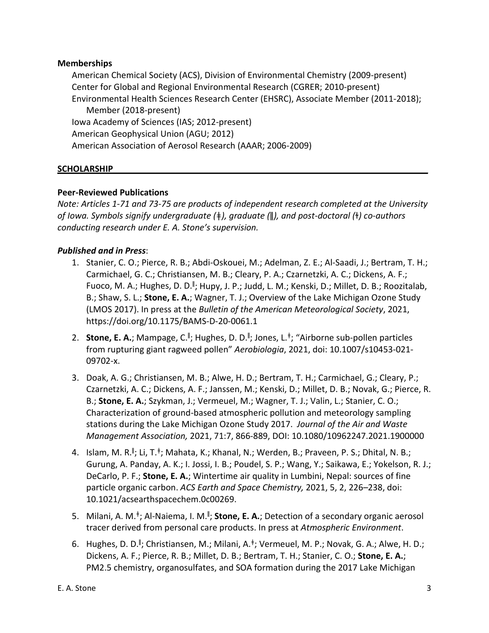# **Memberships**

American Chemical Society (ACS), Division of Environmental Chemistry (2009-present) Center for Global and Regional Environmental Research (CGRER; 2010-present) Environmental Health Sciences Research Center (EHSRC), Associate Member (2011-2018); Member (2018-present) Iowa Academy of Sciences (IAS; 2012-present) American Geophysical Union (AGU; 2012) American Association of Aerosol Research (AAAR; 2006-2009)

# **SCHOLARSHIP\_\_\_\_\_\_\_\_\_\_\_\_\_\_\_\_\_\_\_\_\_\_\_\_\_\_\_\_\_\_\_\_\_\_\_\_\_\_\_\_\_\_\_\_\_\_\_\_\_\_\_\_\_\_\_\_\_\_\_\_\_\_\_\_\_\_**

## **Peer-Reviewed Publications**

*Note: Articles 1-71 and 73-75 are products of independent research completed at the University of Iowa. Symbols signify undergraduate (*ǂ*), graduate (*ǁ*), and post-doctoral (*ɫ*) co-authors conducting research under E. A. Stone's supervision.*

# *Published and in Press*:

- 1. Stanier, C. O.; Pierce, R. B.; Abdi-Oskouei, M.; Adelman, Z. E.; Al-Saadi, J.; Bertram, T. H.; Carmichael, G. C.; Christiansen, M. B.; Cleary, P. A.; Czarnetzki, A. C.; Dickens, A. F.; Fuoco, M. A.; Hughes, D. D.<sup>II</sup>; Hupy, J. P.; Judd, L. M.; Kenski, D.; Millet, D. B.; Roozitalab, B.; Shaw, S. L.; **Stone, E. A.**; Wagner, T. J.; Overview of the Lake Michigan Ozone Study (LMOS 2017). In press at the *Bulletin of the American Meteorological Society*, 2021, https://doi.org/10.1175/BAMS-D-20-0061.1
- 2. **Stone, E. A.**; Mampage, C.<sup>II</sup>; Hughes, D. D.<sup>II</sup>; Jones, L.<sup>‡</sup>; "Airborne sub-pollen particles from rupturing giant ragweed pollen" *Aerobiologia*, 2021, doi: 10.1007/s10453-021- 09702-x.
- 3. Doak, A. G.; Christiansen, M. B.; Alwe, H. D.; Bertram, T. H.; Carmichael, G.; Cleary, P.; Czarnetzki, A. C.; Dickens, A. F.; Janssen, M.; Kenski, D.; Millet, D. B.; Novak, G.; Pierce, R. B.; **Stone, E. A.**; Szykman, J.; Vermeuel, M.; Wagner, T. J.; Valin, L.; Stanier, C. O.; Characterization of ground-based atmospheric pollution and meteorology sampling stations during the Lake Michigan Ozone Study 2017. *Journal of the Air and Waste Management Association,* 2021, 71:7, 866-889, DOI: 10.1080/10962247.2021.1900000
- 4. Islam, M. R.<sup>∥</sup>; Li, T.<sup>‡</sup>; Mahata, K.; Khanal, N.; Werden, B.; Praveen, P. S.; Dhital, N. B.; Gurung, A. Panday, A. K.; I. Jossi, I. B.; Poudel, S. P.; Wang, Y.; Saikawa, E.; Yokelson, R. J.; DeCarlo, P. F.; **Stone, E. A.**; Wintertime air quality in Lumbini, Nepal: sources of fine particle organic carbon. *ACS Earth and Space Chemistry,* 2021, 5, 2, 226–238, doi: 10.1021/acsearthspacechem.0c00269.
- 5. Milani, A. M.<sup>‡</sup>; Al-Naiema, I. M.<sup>∥</sup>; **Stone, E. A.**; Detection of a secondary organic aerosol tracer derived from personal care products. In press at *Atmospheric Environment*.
- 6. Hughes, D. D.<sup>II</sup>; Christiansen, M.; Milani, A.<sup>‡</sup>; Vermeuel, M. P.; Novak, G. A.; Alwe, H. D.; Dickens, A. F.; Pierce, R. B.; Millet, D. B.; Bertram, T. H.; Stanier, C. O.; **Stone, E. A.**; PM2.5 chemistry, organosulfates, and SOA formation during the 2017 Lake Michigan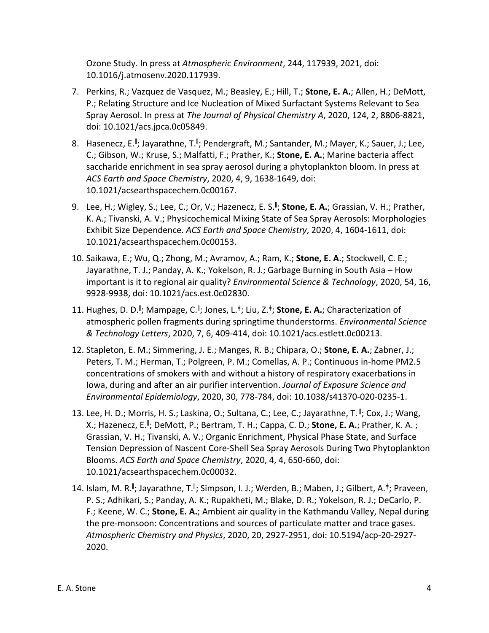Ozone Study. In press at *Atmospheric Environment*, 244, 117939, 2021, doi: 10.1016/j.atmosenv.2020.117939.

- 7. Perkins, R.; Vazquez de Vasquez, M.; Beasley, E.; Hill, T.; **Stone, E. A.**; Allen, H.; DeMott, P.; Relating Structure and Ice Nucleation of Mixed Surfactant Systems Relevant to Sea Spray Aerosol. In press at *The Journal of Physical Chemistry A*, 2020, 124, 2, 8806-8821, doi: 10.1021/acs.jpca.0c05849.
- 8. Hasenecz, E.<sup>II</sup>; Jayarathne, T.<sup>II</sup>; Pendergraft, M.; Santander, M.; Mayer, K.; Sauer, J.; Lee, C.; Gibson, W.; Kruse, S.; Malfatti, F.; Prather, K.; **Stone, E. A.**; Marine bacteria affect saccharide enrichment in sea spray aerosol during a phytoplankton bloom. In press at *ACS Earth and Space Chemistry*, 2020, 4, 9, 1638-1649, doi: 10.1021/acsearthspacechem.0c00167.
- 9. Lee, H.; Wigley, S.; Lee, C.; Or, V.; Hazenecz, E. S.<sup>ǁ</sup> ; **Stone, E. A.**; Grassian, V. H.; Prather, K. A.; Tivanski, A. V.; Physicochemical Mixing State of Sea Spray Aerosols: Morphologies Exhibit Size Dependence. *ACS Earth and Space Chemistry*, 2020, 4, 1604-1611, doi: 10.1021/acsearthspacechem.0c00153.
- 10. Saikawa, E.; Wu, Q.; Zhong, M.; Avramov, A.; Ram, K.; **Stone, E. A.**; Stockwell, C. E.; Jayarathne, T. J.; Panday, A. K.; Yokelson, R. J.; Garbage Burning in South Asia – How important is it to regional air quality? *Environmental Science & Technology*, 2020, 54, 16, 9928-9938, doi: 10.1021/acs.est.0c02830.
- 11. Hughes, D. D.<sup>II</sup>; Mampage, C.<sup>II</sup>; Jones, L.<sup>‡</sup>; Liu, Z.<sup>‡</sup>; Stone, E. A.; Characterization of atmospheric pollen fragments during springtime thunderstorms. *Environmental Science & Technology Letters*, 2020, 7, 6, 409-414, doi: 10.1021/acs.estlett.0c00213.
- 12. Stapleton, E. M.; Simmering, J. E.; Manges, R. B.; Chipara, O.; **Stone, E. A.**; Zabner, J.; Peters, T. M.; Herman, T.; Polgreen, P. M.; Comellas, A. P.; Continuous in-home PM2.5 concentrations of smokers with and without a history of respiratory exacerbations in Iowa, during and after an air purifier intervention. *Journal of Exposure Science and Environmental Epidemiology*, 2020, 30, 778-784, doi: 10.1038/s41370-020-0235-1.
- 13. Lee, H. D.; Morris, H. S.; Laskina, O.; Sultana, C.; Lee, C.; Jayarathne, T. <sup>ǁ</sup> ; Cox, J.; Wang, X.; Hazenecz, E.<sup>ǁ</sup> ; DeMott, P.; Bertram, T. H.; Cappa, C. D.; **Stone, E. A.**; Prather, K. A. ; Grassian, V. H.; Tivanski, A. V.; Organic Enrichment, Physical Phase State, and Surface Tension Depression of Nascent Core-Shell Sea Spray Aerosols During Two Phytoplankton Blooms. *ACS Earth and Space Chemistry*, 2020, 4, 4, 650-660, doi: 10.1021/acsearthspacechem.0c00032.
- 14. Islam, M. R.<sup>∥</sup>; Jayarathne, T.<sup>∥</sup>; Simpson, I. J.; Werden, B.; Maben, J.; Gilbert, A.<sup>‡</sup>; Praveen, P. S.; Adhikari, S.; Panday, A. K.; Rupakheti, M.; Blake, D. R.; Yokelson, R. J.; DeCarlo, P. F.; Keene, W. C.; **Stone, E. A.**; Ambient air quality in the Kathmandu Valley, Nepal during the pre-monsoon: Concentrations and sources of particulate matter and trace gases. *Atmospheric Chemistry and Physics*, 2020, 20, 2927-2951, doi: 10.5194/acp-20-2927- 2020.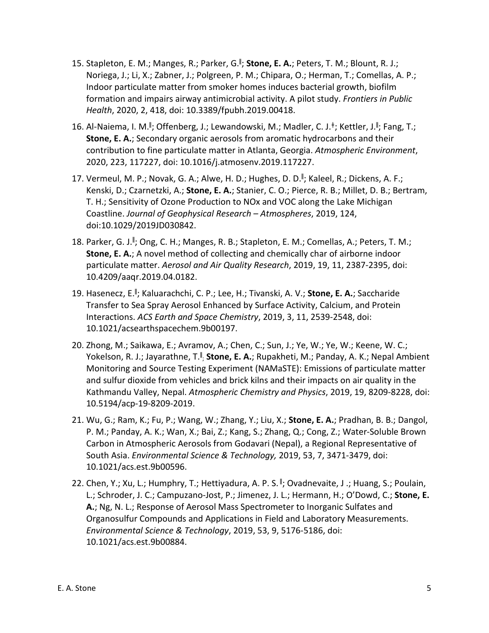- 15. Stapleton, E. M.; Manges, R.; Parker, G.<sup>ǁ</sup> ; **Stone, E. A.**; Peters, T. M.; Blount, R. J.; Noriega, J.; Li, X.; Zabner, J.; Polgreen, P. M.; Chipara, O.; Herman, T.; Comellas, A. P.; Indoor particulate matter from smoker homes induces bacterial growth, biofilm formation and impairs airway antimicrobial activity. A pilot study. *Frontiers in Public Health*, 2020, 2, 418, doi: 10.3389/fpubh.2019.00418.
- 16. Al-Naiema, I. M.<sup>II</sup>; Offenberg, J.; Lewandowski, M.; Madler, C. J.<sup>‡</sup>; Kettler, J.<sup>II</sup>; Fang, T.; **Stone, E. A.**; Secondary organic aerosols from aromatic hydrocarbons and their contribution to fine particulate matter in Atlanta, Georgia. *Atmospheric Environment*, 2020, 223, 117227, doi: 10.1016/j.atmosenv.2019.117227.
- 17. Vermeul, M. P.; Novak, G. A.; Alwe, H. D.; Hughes, D. D.<sup>ǁ</sup> ; Kaleel, R.; Dickens, A. F.; Kenski, D.; Czarnetzki, A.; **Stone, E. A.**; Stanier, C. O.; Pierce, R. B.; Millet, D. B.; Bertram, T. H.; Sensitivity of Ozone Production to NOx and VOC along the Lake Michigan Coastline. *Journal of Geophysical Research – Atmospheres*, 2019, 124, doi:10.1029/2019JD030842.
- 18. Parker, G. J.<sup>II</sup>; Ong, C. H.; Manges, R. B.; Stapleton, E. M.; Comellas, A.; Peters, T. M.; **Stone, E. A.**; A novel method of collecting and chemically char of airborne indoor particulate matter. *Aerosol and Air Quality Research*, 2019, 19, 11, 2387-2395, doi: 10.4209/aaqr.2019.04.0182.
- 19. Hasenecz, E.<sup>ǁ</sup> ; Kaluarachchi, C. P.; Lee, H.; Tivanski, A. V.; **Stone, E. A.**; Saccharide Transfer to Sea Spray Aerosol Enhanced by Surface Activity, Calcium, and Protein Interactions. *ACS Earth and Space Chemistry*, 2019, 3, 11, 2539-2548, doi: 10.1021/acsearthspacechem.9b00197.
- 20. Zhong, M.; Saikawa, E.; Avramov, A.; Chen, C.; Sun, J.; Ye, W.; Ye, W.; Keene, W. C.; Yokelson, R. J.; Jayarathne, T.<sup>II</sup>; **Stone, E. A.**; Rupakheti, M.; Panday, A. K.; Nepal Ambient Monitoring and Source Testing Experiment (NAMaSTE): Emissions of particulate matter and sulfur dioxide from vehicles and brick kilns and their impacts on air quality in the Kathmandu Valley, Nepal. *Atmospheric Chemistry and Physics*, 2019, 19, 8209-8228, doi: 10.5194/acp-19-8209-2019.
- 21. Wu, G.; Ram, K.; Fu, P.; Wang, W.; Zhang, Y.; Liu, X.; **Stone, E. A.**; Pradhan, B. B.; Dangol, P. M.; Panday, A. K.; Wan, X.; Bai, Z.; Kang, S.; Zhang, Q.; Cong, Z.; Water-Soluble Brown Carbon in Atmospheric Aerosols from Godavari (Nepal), a Regional Representative of South Asia. *Environmental Science & Technology,* 2019, 53, 7, 3471-3479, doi: 10.1021/acs.est.9b00596.
- 22. Chen, Y.; Xu, L.; Humphry, T.; Hettiyadura, A. P. S. <sup>ǁ</sup> ; Ovadnevaite, J .; Huang, S.; Poulain, L.; Schroder, J. C.; Campuzano-Jost, P.; Jimenez, J. L.; Hermann, H.; O'Dowd, C.; **Stone, E. A.**; Ng, N. L.; Response of Aerosol Mass Spectrometer to Inorganic Sulfates and Organosulfur Compounds and Applications in Field and Laboratory Measurements. *Environmental Science & Technology*, 2019, 53, 9, 5176-5186, doi: 10.1021/acs.est.9b00884.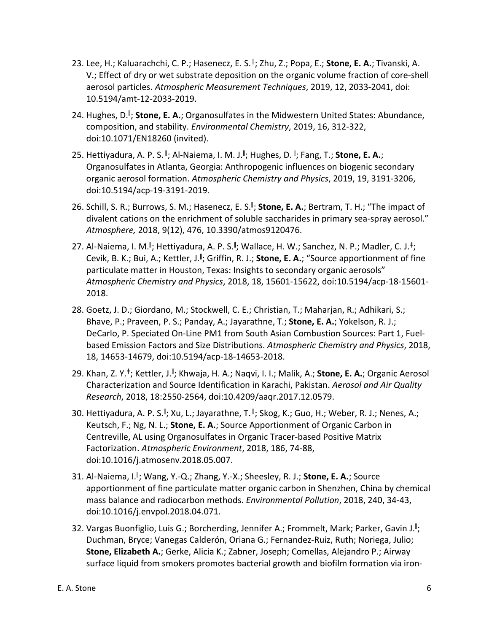- 23. Lee, H.; Kaluarachchi, C. P.; Hasenecz, E. S. <sup>ǁ</sup> ; Zhu, Z.; Popa, E.; **Stone, E. A.**; Tivanski, A. V.; Effect of dry or wet substrate deposition on the organic volume fraction of core-shell aerosol particles. *Atmospheric Measurement Techniques*, 2019, 12, 2033-2041, doi: 10.5194/amt-12-2033-2019.
- 24. Hughes, D.<sup>ǁ</sup> ; **Stone, E. A.**; Organosulfates in the Midwestern United States: Abundance, composition, and stability. *Environmental Chemistry*, 2019, 16, 312-322, doi:10.1071/EN18260 (invited).
- 25. Hettiyadura, A. P. S. <sup>||</sup>; Al-Naiema, I. M. J.<sup>||</sup>; Hughes, D. <sup>||</sup>; Fang, T.; **Stone, E. A.**; Organosulfates in Atlanta, Georgia: Anthropogenic influences on biogenic secondary organic aerosol formation. *Atmospheric Chemistry and Physics*, 2019, 19, 3191-3206, doi:10.5194/acp-19-3191-2019.
- 26. Schill, S. R.; Burrows, S. M.; Hasenecz, E. S.<sup>II</sup>; Stone, E. A.; Bertram, T. H.; "The impact of divalent cations on the enrichment of soluble saccharides in primary sea-spray aerosol." *Atmosphere,* 2018, 9(12), 476, 10.3390/atmos9120476.
- 27. Al-Naiema, I. M.<sup>∥</sup>; Hettiyadura, A. P. S.<sup>∥</sup>; Wallace, H. W.; Sanchez, N. P.; Madler, C. J.<sup>‡</sup>; Cevik, B. K.; Bui, A.; Kettler, J.<sup>II</sup>; Griffin, R. J.; Stone, E. A.; "Source apportionment of fine particulate matter in Houston, Texas: Insights to secondary organic aerosols" *Atmospheric Chemistry and Physics*, 2018, 18, 15601-15622, doi:10.5194/acp-18-15601- 2018.
- 28. Goetz, J. D.; Giordano, M.; Stockwell, C. E.; Christian, T.; Maharjan, R.; Adhikari, S.; Bhave, P.; Praveen, P. S.; Panday, A.; Jayarathne, T.; **Stone, E. A.**; Yokelson, R. J.; DeCarlo, P. Speciated On-Line PM1 from South Asian Combustion Sources: Part 1, Fuelbased Emission Factors and Size Distributions. *Atmospheric Chemistry and Physics*, 2018, 18, 14653-14679, doi:10.5194/acp-18-14653-2018.
- 29. Khan, Z. Y.<sup>‡</sup>; Kettler, J.<sup>∥</sup>; Khwaja, H. A.; Naqvi, I. I.; Malik, A.; Stone, E. A.; Organic Aerosol Characterization and Source Identification in Karachi, Pakistan. *Aerosol and Air Quality Research*, 2018, 18:2550-2564, doi:10.4209/aaqr.2017.12.0579.
- 30. Hettiyadura, A. P. S.<sup>∥</sup>; Xu, L.; Jayarathne, T. <sup>∥</sup>; Skog, K.; Guo, H.; Weber, R. J.; Nenes, A.; Keutsch, F.; Ng, N. L.; **Stone, E. A.**; Source Apportionment of Organic Carbon in Centreville, AL using Organosulfates in Organic Tracer-based Positive Matrix Factorization. *Atmospheric Environment*, 2018, 186, 74-88, doi:10.1016/j.atmosenv.2018.05.007.
- 31. Al-Naiema, I.<sup>ǁ</sup> ; Wang, Y.-Q.; Zhang, Y.-X.; Sheesley, R. J.; **Stone, E. A.**; Source apportionment of fine particulate matter organic carbon in Shenzhen, China by chemical mass balance and radiocarbon methods. *Environmental Pollution*, 2018, 240, 34-43, doi:10.1016/j.envpol.2018.04.071.
- 32. Vargas Buonfiglio, Luis G.; Borcherding, Jennifer A.; Frommelt, Mark; Parker, Gavin J.<sup>II</sup>; Duchman, Bryce; Vanegas Calderón, Oriana G.; Fernandez-Ruiz, Ruth; Noriega, Julio; **Stone, Elizabeth A.**; Gerke, Alicia K.; Zabner, Joseph; Comellas, Alejandro P.; Airway surface liquid from smokers promotes bacterial growth and biofilm formation via iron-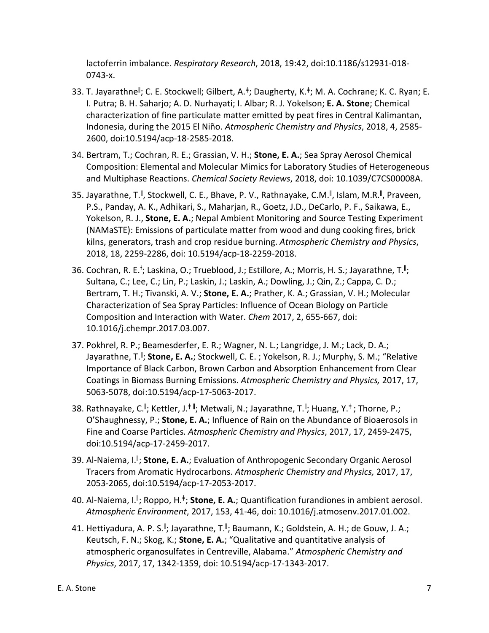lactoferrin imbalance. *Respiratory Research*, 2018, 19:42, doi:10.1186/s12931-018- 0743-x.

- 33. T. Jayarathne<sup>ǁ</sup> ; C. E. Stockwell; Gilbert, A.<sup>ǂ</sup>; Daugherty, K.<sup>ǂ</sup>; M. A. Cochrane; K. C. Ryan; E. I. Putra; B. H. Saharjo; A. D. Nurhayati; I. Albar; R. J. Yokelson; **E. A. Stone**; Chemical characterization of fine particulate matter emitted by peat fires in Central Kalimantan, Indonesia, during the 2015 El Niño. *Atmospheric Chemistry and Physics*, 2018, 4, 2585- 2600, doi:10.5194/acp-18-2585-2018.
- 34. Bertram, T.; Cochran, R. E.; Grassian, V. H.; **Stone, E. A.**; Sea Spray Aerosol Chemical Composition: Elemental and Molecular Mimics for Laboratory Studies of Heterogeneous and Multiphase Reactions. *Chemical Society Reviews*, 2018, doi: 10.1039/C7CS00008A.
- 35. Jayarathne, T.<sup>II</sup>, Stockwell, C. E., Bhave, P. V., Rathnayake, C.M.<sup>II</sup>, Islam, M.R.<sup>II</sup>, Praveen, P.S., Panday, A. K., Adhikari, S., Maharjan, R., Goetz, J.D., DeCarlo, P. F., Saikawa, E., Yokelson, R. J., **Stone, E. A.**; Nepal Ambient Monitoring and Source Testing Experiment (NAMaSTE): Emissions of particulate matter from wood and dung cooking fires, brick kilns, generators, trash and crop residue burning. *Atmospheric Chemistry and Physics*, 2018, 18, 2259-2286, doi: 10.5194/acp-18-2259-2018.
- 36. Cochran, R. E.<sup>†</sup>; Laskina, O.; Trueblood, J.; Estillore, A.; Morris, H. S.; Jayarathne, T.<sup>I</sup>I; Sultana, C.; Lee, C.; Lin, P.; Laskin, J.; Laskin, A.; Dowling, J.; Qin, Z.; Cappa, C. D.; Bertram, T. H.; Tivanski, A. V.; **Stone, E. A.**; Prather, K. A.; Grassian, V. H.; Molecular Characterization of Sea Spray Particles: Influence of Ocean Biology on Particle Composition and Interaction with Water. *Chem* 2017, 2, 655-667, doi: 10.1016/j.chempr.2017.03.007.
- 37. Pokhrel, R. P.; Beamesderfer, E. R.; Wagner, N. L.; Langridge, J. M.; Lack, D. A.; Jayarathne, T.<sup>II</sup>; **Stone, E. A.**; Stockwell, C. E. ; Yokelson, R. J.; Murphy, S. M.; "Relative Importance of Black Carbon, Brown Carbon and Absorption Enhancement from Clear Coatings in Biomass Burning Emissions. *Atmospheric Chemistry and Physics,* 2017, 17, 5063-5078, doi:10.5194/acp-17-5063-2017.
- 38. Rathnayake, C.<sup>∥</sup>; Kettler, J.<sup>‡∥</sup>; Metwali, N.; Jayarathne, T.<sup>∥</sup>; Huang, Y.<sup>‡</sup>; Thorne, P.; O'Shaughnessy, P.; **Stone, E. A.**; Influence of Rain on the Abundance of Bioaerosols in Fine and Coarse Particles. *Atmospheric Chemistry and Physics*, 2017, 17, 2459-2475, doi:10.5194/acp-17-2459-2017.
- 39. Al-Naiema, I.<sup>ǁ</sup> ; **Stone, E. A.**; Evaluation of Anthropogenic Secondary Organic Aerosol Tracers from Aromatic Hydrocarbons. *Atmospheric Chemistry and Physics,* 2017, 17, 2053-2065, doi:10.5194/acp-17-2053-2017.
- 40. Al-Naiema, I.<sup>ǁ</sup> ; Roppo, H.<sup>ǂ</sup>; **Stone, E. A.**; Quantification furandiones in ambient aerosol. *Atmospheric Environment*, 2017, 153, 41-46, doi: 10.1016/j.atmosenv.2017.01.002.
- 41. Hettiyadura, A. P. S.<sup>∥</sup>; Jayarathne, T.<sup>∥</sup>; Baumann, K.; Goldstein, A. H.; de Gouw, J. A.; Keutsch, F. N.; Skog, K.; **Stone, E. A.**; "Qualitative and quantitative analysis of atmospheric organosulfates in Centreville, Alabama." *Atmospheric Chemistry and Physics*, 2017, 17, 1342-1359, doi: 10.5194/acp-17-1343-2017.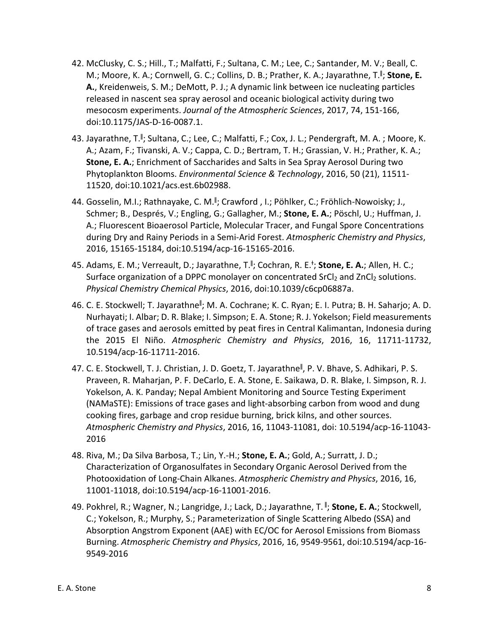- 42. McClusky, C. S.; Hill., T.; Malfatti, F.; Sultana, C. M.; Lee, C.; Santander, M. V.; Beall, C. M.; Moore, K. A.; Cornwell, G. C.; Collins, D. B.; Prather, K. A.; Jayarathne, T.<sup>ǁ</sup> ; **Stone, E. A.**, Kreidenweis, S. M.; DeMott, P. J.; A dynamic link between ice nucleating particles released in nascent sea spray aerosol and oceanic biological activity during two mesocosm experiments. *Journal of the Atmospheric Sciences*, 2017, 74, 151-166, doi:10.1175/JAS-D-16-0087.1.
- 43. Jayarathne, T.<sup>II</sup>; Sultana, C.; Lee, C.; Malfatti, F.; Cox, J. L.; Pendergraft, M. A. ; Moore, K. A.; Azam, F.; Tivanski, A. V.; Cappa, C. D.; Bertram, T. H.; Grassian, V. H.; Prather, K. A.; **Stone, E. A.**; Enrichment of Saccharides and Salts in Sea Spray Aerosol During two Phytoplankton Blooms. *Environmental Science & Technology*, 2016, 50 (21), 11511- 11520, doi:10.1021/acs.est.6b02988.
- 44. Gosselin, M.I.; Rathnayake, C. M.<sup>II</sup>; Crawford , I.; Pöhlker, C.; Fröhlich-Nowoisky; J., Schmer; B., Després, V.; Engling, G.; Gallagher, M.; **Stone, E. A.**; Pöschl, U.; Huffman, J. A.; Fluorescent Bioaerosol Particle, Molecular Tracer, and Fungal Spore Concentrations during Dry and Rainy Periods in a Semi-Arid Forest. *Atmospheric Chemistry and Physics*, 2016, 15165-15184, doi:10.5194/acp-16-15165-2016.
- 45. Adams, E. M.; Verreault, D.; Jayarathne, T.<sup>II</sup>; Cochran, R. E.<sup>†</sup>; **Stone, E. A.**; Allen, H. C.; Surface organization of a DPPC monolayer on concentrated SrCl<sub>2</sub> and ZnCl<sub>2</sub> solutions. *Physical Chemistry Chemical Physics*, 2016, doi:10.1039/c6cp06887a.
- 46. C. E. Stockwell; T. Jayarathne<sup>ll</sup>; M. A. Cochrane; K. C. Ryan; E. I. Putra; B. H. Saharjo; A. D. Nurhayati; I. Albar; D. R. Blake; I. Simpson; E. A. Stone; R. J. Yokelson; Field measurements of trace gases and aerosols emitted by peat fires in Central Kalimantan, Indonesia during the 2015 El Niño. *Atmospheric Chemistry and Physics*, 2016, 16, 11711-11732, 10.5194/acp-16-11711-2016.
- 47. C. E. Stockwell, T. J. Christian, J. D. Goetz, T. Jayarathne<sup>ll</sup>, P. V. Bhave, S. Adhikari, P. S. Praveen, R. Maharjan, P. F. DeCarlo, E. A. Stone, E. Saikawa, D. R. Blake, I. Simpson, R. J. Yokelson, A. K. Panday; Nepal Ambient Monitoring and Source Testing Experiment (NAMaSTE): Emissions of trace gases and light-absorbing carbon from wood and dung cooking fires, garbage and crop residue burning, brick kilns, and other sources. *Atmospheric Chemistry and Physics*, 2016, 16, 11043-11081, doi: 10.5194/acp-16-11043- 2016
- 48. Riva, M.; Da Silva Barbosa, T.; Lin, Y.-H.; **Stone, E. A.**; Gold, A.; Surratt, J. D.; Characterization of Organosulfates in Secondary Organic Aerosol Derived from the Photooxidation of Long-Chain Alkanes. *Atmospheric Chemistry and Physics*, 2016, 16, 11001-11018, doi:10.5194/acp-16-11001-2016.
- 49. Pokhrel, R.; Wagner, N.; Langridge, J.; Lack, D.; Jayarathne, T. <sup>ǁ</sup> ; **Stone, E. A.**; Stockwell, C.; Yokelson, R.; Murphy, S.; Parameterization of Single Scattering Albedo (SSA) and Absorption Angstrom Exponent (AAE) with EC/OC for Aerosol Emissions from Biomass Burning. *Atmospheric Chemistry and Physics*, 2016, 16, 9549-9561, doi:10.5194/acp-16- 9549-2016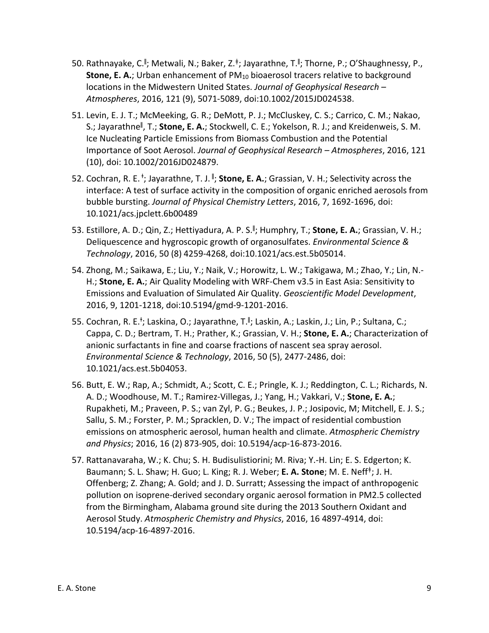- 50. Rathnayake, C.<sup>ǁ</sup> ; Metwali, N.; Baker, Z.<sup>ǂ</sup>; Jayarathne, T.<sup>ǁ</sup> ; Thorne, P.; O'Shaughnessy, P., **Stone, E. A.**; Urban enhancement of PM<sub>10</sub> bioaerosol tracers relative to background locations in the Midwestern United States. *Journal of Geophysical Research – Atmospheres*, 2016, 121 (9), 5071-5089, doi:10.1002/2015JD024538.
- 51. Levin, E. J. T.; McMeeking, G. R.; DeMott, P. J.; McCluskey, C. S.; Carrico, C. M.; Nakao, S.; Jayarathne<sup>ll</sup>, T.; **Stone, E. A.**; Stockwell, C. E.; Yokelson, R. J.; and Kreidenweis, S. M. Ice Nucleating Particle Emissions from Biomass Combustion and the Potential Importance of Soot Aerosol. *Journal of Geophysical Research – Atmospheres*, 2016, 121 (10), doi: 10.1002/2016JD024879.
- 52. Cochran, R. E.<sup>+</sup>; Jayarathne, T. J.<sup>||</sup>; **Stone, E. A.**; Grassian, V. H.; Selectivity across the interface: A test of surface activity in the composition of organic enriched aerosols from bubble bursting. *Journal of Physical Chemistry Letters*, 2016, 7, 1692-1696, doi: 10.1021/acs.jpclett.6b00489
- 53. Estillore, A. D.; Qin, Z.; Hettiyadura, A. P. S.<sup>ǁ</sup> ; Humphry, T.; **Stone, E. A.**; Grassian, V. H.; Deliquescence and hygroscopic growth of organosulfates. *Environmental Science & Technology*, 2016, 50 (8) 4259-4268, doi:10.1021/acs.est.5b05014.
- 54. Zhong, M.; Saikawa, E.; Liu, Y.; Naik, V.; Horowitz, L. W.; Takigawa, M.; Zhao, Y.; Lin, N.- H.; **Stone, E. A.**; Air Quality Modeling with WRF-Chem v3.5 in East Asia: Sensitivity to Emissions and Evaluation of Simulated Air Quality. *Geoscientific Model Development*, 2016, 9, 1201-1218, doi:10.5194/gmd-9-1201-2016.
- 55. Cochran, R. E.<sup>†</sup>; Laskina, O.; Jayarathne, T.<sup>∥</sup>; Laskin, A.; Laskin, J.; Lin, P.; Sultana, C.; Cappa, C. D.; Bertram, T. H.; Prather, K.; Grassian, V. H.; **Stone, E. A.**; Characterization of anionic surfactants in fine and coarse fractions of nascent sea spray aerosol. *Environmental Science & Technology*, 2016, 50 (5), 2477-2486, doi: 10.1021/acs.est.5b04053.
- 56. Butt, E. W.; Rap, A.; Schmidt, A.; Scott, C. E.; Pringle, K. J.; Reddington, C. L.; Richards, N. A. D.; Woodhouse, M. T.; Ramirez-Villegas, J.; Yang, H.; Vakkari, V.; **Stone, E. A.**; Rupakheti, M.; Praveen, P. S.; van Zyl, P. G.; Beukes, J. P.; Josipovic, M; Mitchell, E. J. S.; Sallu, S. M.; Forster, P. M.; Spracklen, D. V.; The impact of residential combustion emissions on atmospheric aerosol, human health and climate. *Atmospheric Chemistry and Physics*; 2016, 16 (2) 873-905, doi: 10.5194/acp-16-873-2016.
- 57. Rattanavaraha, W.; K. Chu; S. H. Budisulistiorini; M. Riva; Y.-H. Lin; E. S. Edgerton; K. Baumann; S. L. Shaw; H. Guo; L. King; R. J. Weber; **E. A. Stone**; M. E. Neff<sup>ǂ</sup>; J. H. Offenberg; Z. Zhang; A. Gold; and J. D. Surratt; Assessing the impact of anthropogenic pollution on isoprene-derived secondary organic aerosol formation in PM2.5 collected from the Birmingham, Alabama ground site during the 2013 Southern Oxidant and Aerosol Study. *Atmospheric Chemistry and Physics*, 2016, 16 4897-4914, doi: 10.5194/acp-16-4897-2016.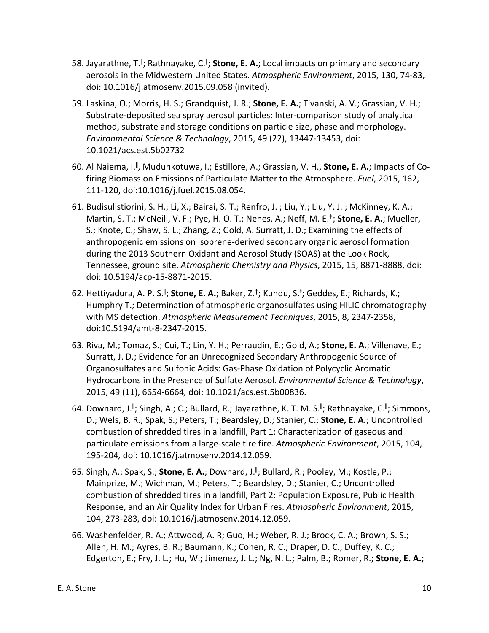- 58. Jayarathne, T.<sup>II</sup>; Rathnayake, C.<sup>II</sup>; **Stone, E. A.**; Local impacts on primary and secondary aerosols in the Midwestern United States. *Atmospheric Environment*, 2015, 130, 74-83, doi: 10.1016/j.atmosenv.2015.09.058 (invited).
- 59. Laskina, O.; Morris, H. S.; Grandquist, J. R.; **Stone, E. A.**; Tivanski, A. V.; Grassian, V. H.; Substrate-deposited sea spray aerosol particles: Inter-comparison study of analytical method, substrate and storage conditions on particle size, phase and morphology. *Environmental Science & Technology*, 2015, 49 (22), 13447-13453, doi: 10.1021/acs.est.5b02732
- 60. Al Naiema, I.<sup>ǁ</sup> , Mudunkotuwa, I.; Estillore, A.; Grassian, V. H., **Stone, E. A.**; Impacts of Cofiring Biomass on Emissions of Particulate Matter to the Atmosphere. *Fuel*, 2015, 162, 111-120, doi:10.1016/j.fuel.2015.08.054.
- 61. Budisulistiorini, S. H.; Li, X.; Bairai, S. T.; Renfro, J. ; Liu, Y.; Liu, Y. J. ; McKinney, K. A.; Martin, S. T.; McNeill, V. F.; Pye, H. O. T.; Nenes, A.; Neff, M. E.<sup>ǂ</sup>; **Stone, E. A.**; Mueller, S.; Knote, C.; Shaw, S. L.; Zhang, Z.; Gold, A. Surratt, J. D.; Examining the effects of anthropogenic emissions on isoprene-derived secondary organic aerosol formation during the 2013 Southern Oxidant and Aerosol Study (SOAS) at the Look Rock, Tennessee, ground site. *Atmospheric Chemistry and Physics*, 2015, 15, 8871-8888, doi: doi: 10.5194/acp-15-8871-2015.
- 62. Hettiyadura, A. P. S.<sup>∥</sup>; **Stone, E. A.**; Baker, Z.<sup>‡</sup>; Kundu, S.<sup>†</sup>; Geddes, E.; Richards, K.; Humphry T.; Determination of atmospheric organosulfates using HILIC chromatography with MS detection. *Atmospheric Measurement Techniques*, 2015, 8, 2347-2358, doi:10.5194/amt-8-2347-2015.
- 63. Riva, M.; Tomaz, S.; Cui, T.; Lin, Y. H.; Perraudin, E.; Gold, A.; **Stone, E. A.**; Villenave, E.; Surratt, J. D.; Evidence for an Unrecognized Secondary Anthropogenic Source of Organosulfates and Sulfonic Acids: Gas-Phase Oxidation of Polycyclic Aromatic Hydrocarbons in the Presence of Sulfate Aerosol. *Environmental Science & Technology*, 2015, 49 (11), 6654-6664*,* doi: 10.1021/acs.est.5b00836.
- 64. Downard, J.<sup>∥</sup>; Singh, A.; C.; Bullard, R.; Jayarathne, K. T. M. S.<sup>∥</sup>; Rathnayake, C.<sup>∥</sup>; Simmons, D.; Wels, B. R.; Spak, S.; Peters, T.; Beardsley, D.; Stanier, C.; **Stone, E. A.**; Uncontrolled combustion of shredded tires in a landfill, Part 1: Characterization of gaseous and particulate emissions from a large-scale tire fire. *Atmospheric Environment*, 2015, 104, 195-204*,* doi: 10.1016/j.atmosenv.2014.12.059.
- 65. Singh, A.; Spak, S.; **Stone, E. A.**; Downard, J.<sup>ǁ</sup> ; Bullard, R.; Pooley, M.; Kostle, P.; Mainprize, M.; Wichman, M.; Peters, T.; Beardsley, D.; Stanier, C.; Uncontrolled combustion of shredded tires in a landfill, Part 2: Population Exposure, Public Health Response, and an Air Quality Index for Urban Fires. *Atmospheric Environment*, 2015, 104, 273-283, doi: 10.1016/j.atmosenv.2014.12.059.
- 66. Washenfelder, R. A.; Attwood, A. R; Guo, H.; Weber, R. J.; Brock, C. A.; Brown, S. S.; Allen, H. M.; Ayres, B. R.; Baumann, K.; Cohen, R. C.; Draper, D. C.; Duffey, K. C.; Edgerton, E.; Fry, J. L.; Hu, W.; Jimenez, J. L.; Ng, N. L.; Palm, B.; Romer, R.; **Stone, E. A.**;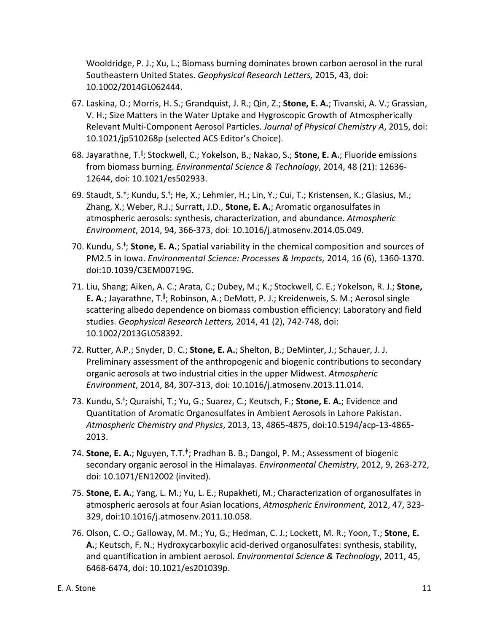Wooldridge, P. J.; Xu, L.; Biomass burning dominates brown carbon aerosol in the rural Southeastern United States. *Geophysical Research Letters,* 2015, 43, doi: 10.1002/2014GL062444.

- 67. Laskina, O.; Morris, H. S.; Grandquist, J. R.; Qin, Z.; **Stone, E. A.**; Tivanski, A. V.; Grassian, V. H.; Size Matters in the Water Uptake and Hygroscopic Growth of Atmospherically Relevant Multi-Component Aerosol Particles. *Journal of Physical Chemistry A*, 2015, doi: 10.1021/jp510268p (selected ACS Editor's Choice).
- 68. Jayarathne, T.<sup>ǁ</sup> ; Stockwell, C.; Yokelson, B.; Nakao, S.; **Stone, E. A.**; Fluoride emissions from biomass burning. *Environmental Science & Technology*, 2014, 48 (21): 12636- 12644, doi: 10.1021/es502933.
- 69. Staudt, S.<sup>‡</sup>; Kundu, S.<sup>†</sup>; He, X.; Lehmler, H.; Lin, Y.; Cui, T.; Kristensen, K.; Glasius, M.; Zhang, X.; Weber, R.J.; Surratt, J.D., **Stone, E. A.**; Aromatic organosulfates in atmospheric aerosols: synthesis, characterization, and abundance. *Atmospheric Environment*, 2014, 94, 366-373, doi: 10.1016/j.atmosenv.2014.05.049.
- 70. Kundu, S.<sup>+</sup>; Stone, E. A.; Spatial variability in the chemical composition and sources of PM2.5 in Iowa. *Environmental Science: Processes & Impacts,* 2014, 16 (6), 1360-1370. doi:10.1039/C3EM00719G.
- 71. Liu, Shang; Aiken, A. C.; Arata, C.; Dubey, M.; K.; Stockwell, C. E.; Yokelson, R. J.; **Stone,**  E. A.; Jayarathne, T.<sup>II</sup>; Robinson, A.; DeMott, P. J.; Kreidenweis, S. M.; Aerosol single scattering albedo dependence on biomass combustion efficiency: Laboratory and field studies. *Geophysical Research Letters,* 2014, 41 (2), 742-748, doi: 10.1002/2013GL058392.
- 72. Rutter, A.P.; Snyder, D. C.; **Stone, E. A.**; Shelton, B.; DeMinter, J.; Schauer, J. J. Preliminary assessment of the anthropogenic and biogenic contributions to secondary organic aerosols at two industrial cities in the upper Midwest. *Atmospheric Environment*, 2014, 84, 307-313, doi: 10.1016/j.atmosenv.2013.11.014.
- 73. Kundu, S.<sup>+</sup>; Quraishi, T.; Yu, G.; Suarez, C.; Keutsch, F.; Stone, E. A.; Evidence and Quantitation of Aromatic Organosulfates in Ambient Aerosols in Lahore Pakistan. *Atmospheric Chemistry and Physics*, 2013, 13, 4865-4875, doi:10.5194/acp-13-4865- 2013.
- 74. **Stone, E. A.**; Nguyen, T.T.<sup>ǂ</sup>; Pradhan B. B.; Dangol, P. M.; Assessment of biogenic secondary organic aerosol in the Himalayas. *Environmental Chemistry*, 2012, 9, 263-272, doi: 10.1071/EN12002 (invited).
- 75. **Stone, E. A.**; Yang, L. M.; Yu, L. E.; Rupakheti, M.; Characterization of organosulfates in atmospheric aerosols at four Asian locations, *Atmospheric Environment*, 2012, 47, 323- 329, doi:10.1016/j.atmosenv.2011.10.058.
- 76. Olson, C. O.; Galloway, M. M.; Yu, G.; Hedman, C. J.; Lockett, M. R.; Yoon, T.; **Stone, E. A.**; Keutsch, F. N.; Hydroxycarboxylic acid-derived organosulfates: synthesis, stability, and quantification in ambient aerosol. *Environmental Science & Technology*, 2011, 45, 6468-6474, doi: 10.1021/es201039p.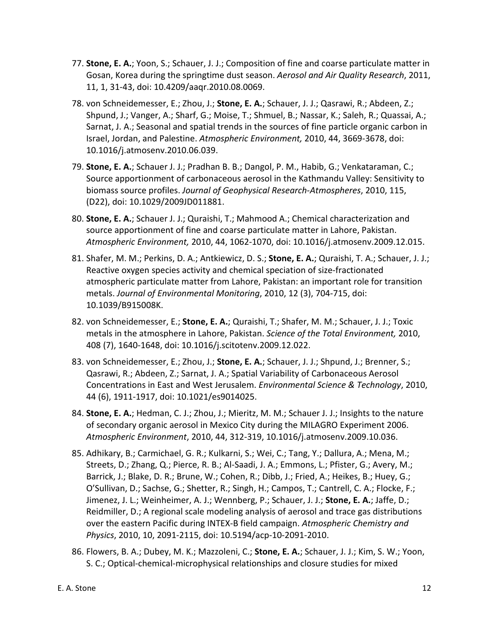- 77. **Stone, E. A.**; Yoon, S.; Schauer, J. J.; Composition of fine and coarse particulate matter in Gosan, Korea during the springtime dust season. *Aerosol and Air Quality Research*, 2011, 11, 1, 31-43, doi: 10.4209/aaqr.2010.08.0069.
- 78. von Schneidemesser, E.; Zhou, J.; **Stone, E. A.**; Schauer, J. J.; Qasrawi, R.; Abdeen, Z.; Shpund, J.; Vanger, A.; Sharf, G.; Moise, T.; Shmuel, B.; Nassar, K.; Saleh, R.; Quassai, A.; Sarnat, J. A.; Seasonal and spatial trends in the sources of fine particle organic carbon in Israel, Jordan, and Palestine. *Atmospheric Environment,* 2010, 44, 3669-3678, doi: 10.1016/j.atmosenv.2010.06.039.
- 79. **Stone, E. A.**; Schauer J. J.; Pradhan B. B.; Dangol, P. M., Habib, G.; Venkataraman, C.; Source apportionment of carbonaceous aerosol in the Kathmandu Valley: Sensitivity to biomass source profiles. *Journal of Geophysical Research-Atmospheres*, 2010, 115, (D22), doi: 10.1029/2009JD011881.
- 80. **Stone, E. A.**; Schauer J. J.; Quraishi, T.; Mahmood A.; Chemical characterization and source apportionment of fine and coarse particulate matter in Lahore, Pakistan. *Atmospheric Environment,* 2010, 44, 1062-1070, doi: 10.1016/j.atmosenv.2009.12.015.
- 81. Shafer, M. M.; Perkins, D. A.; Antkiewicz, D. S.; **Stone, E. A.**; Quraishi, T. A.; Schauer, J. J.; Reactive oxygen species activity and chemical speciation of size-fractionated atmospheric particulate matter from Lahore, Pakistan: an important role for transition metals. *Journal of Environmental Monitoring*, 2010, 12 (3), 704-715, doi: 10.1039/B915008K.
- 82. von Schneidemesser, E.; **Stone, E. A.**; Quraishi, T.; Shafer, M. M.; Schauer, J. J.; Toxic metals in the atmosphere in Lahore, Pakistan. *Science of the Total Environment,* 2010, 408 (7), 1640-1648, doi: 10.1016/j.scitotenv.2009.12.022.
- 83. von Schneidemesser, E.; Zhou, J.; **Stone, E. A.**; Schauer, J. J.; Shpund, J.; Brenner, S.; Qasrawi, R.; Abdeen, Z.; Sarnat, J. A.; Spatial Variability of Carbonaceous Aerosol Concentrations in East and West Jerusalem. *Environmental Science & Technology*, 2010, 44 (6), 1911-1917, doi: 10.1021/es9014025.
- 84. **Stone, E. A.**; Hedman, C. J.; Zhou, J.; Mieritz, M. M.; Schauer J. J.; Insights to the nature of secondary organic aerosol in Mexico City during the MILAGRO Experiment 2006. *Atmospheric Environment*, 2010, 44, 312-319, 10.1016/j.atmosenv.2009.10.036.
- 85. Adhikary, B.; Carmichael, G. R.; Kulkarni, S.; Wei, C.; Tang, Y.; Dallura, A.; Mena, M.; Streets, D.; Zhang, Q.; Pierce, R. B.; Al-Saadi, J. A.; Emmons, L.; Pfister, G.; Avery, M.; Barrick, J.; Blake, D. R.; Brune, W.; Cohen, R.; Dibb, J.; Fried, A.; Heikes, B.; Huey, G.; O'Sullivan, D.; Sachse, G.; Shetter, R.; Singh, H.; Campos, T.; Cantrell, C. A.; Flocke, F.; Jimenez, J. L.; Weinheimer, A. J.; Wennberg, P.; Schauer, J. J.; **Stone, E. A.**; Jaffe, D.; Reidmiller, D.; A regional scale modeling analysis of aerosol and trace gas distributions over the eastern Pacific during INTEX-B field campaign. *Atmospheric Chemistry and Physics*, 2010, 10, 2091-2115, doi: 10.5194/acp-10-2091-2010.
- 86. Flowers, B. A.; Dubey, M. K.; Mazzoleni, C.; **Stone, E. A.**; Schauer, J. J.; Kim, S. W.; Yoon, S. C.; Optical-chemical-microphysical relationships and closure studies for mixed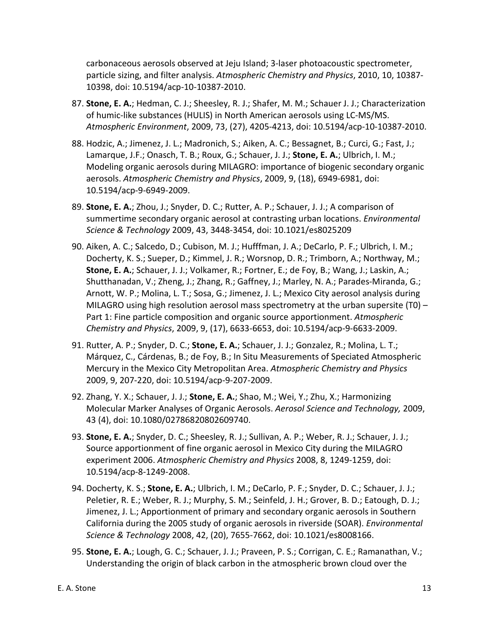carbonaceous aerosols observed at Jeju Island; 3-laser photoacoustic spectrometer, particle sizing, and filter analysis. *Atmospheric Chemistry and Physics*, 2010, 10, 10387- 10398, doi: 10.5194/acp-10-10387-2010.

- 87. **Stone, E. A.**; Hedman, C. J.; Sheesley, R. J.; Shafer, M. M.; Schauer J. J.; Characterization of humic-like substances (HULIS) in North American aerosols using LC-MS/MS. *Atmospheric Environment*, 2009, 73, (27), 4205-4213, doi: 10.5194/acp-10-10387-2010.
- 88. Hodzic, A.; Jimenez, J. L.; Madronich, S.; Aiken, A. C.; Bessagnet, B.; Curci, G.; Fast, J.; Lamarque, J.F.; Onasch, T. B.; Roux, G.; Schauer, J. J.; **Stone, E. A.**; Ulbrich, I. M.; Modeling organic aerosols during MILAGRO: importance of biogenic secondary organic aerosols. *Atmospheric Chemistry and Physics*, 2009, 9, (18), 6949-6981, doi: 10.5194/acp-9-6949-2009.
- 89. **Stone, E. A.**; Zhou, J.; Snyder, D. C.; Rutter, A. P.; Schauer, J. J.; A comparison of summertime secondary organic aerosol at contrasting urban locations. *Environmental Science & Technology* 2009, 43, 3448-3454, doi: 10.1021/es8025209
- 90. Aiken, A. C.; Salcedo, D.; Cubison, M. J.; Hufffman, J. A.; DeCarlo, P. F.; Ulbrich, I. M.; Docherty, K. S.; Sueper, D.; Kimmel, J. R.; Worsnop, D. R.; Trimborn, A.; Northway, M.; **Stone, E. A.**; Schauer, J. J.; Volkamer, R.; Fortner, E.; de Foy, B.; Wang, J.; Laskin, A.; Shutthanadan, V.; Zheng, J.; Zhang, R.; Gaffney, J.; Marley, N. A.; Parades-Miranda, G.; Arnott, W. P.; Molina, L. T.; Sosa, G.; Jimenez, J. L.; Mexico City aerosol analysis during MILAGRO using high resolution aerosol mass spectrometry at the urban supersite (T0) – Part 1: Fine particle composition and organic source apportionment. *Atmospheric Chemistry and Physics*, 2009, 9, (17), 6633-6653, doi: 10.5194/acp-9-6633-2009.
- 91. Rutter, A. P.; Snyder, D. C.; **Stone, E. A.**; Schauer, J. J.; Gonzalez, R.; Molina, L. T.; Márquez, C., Cárdenas, B.; de Foy, B.; In Situ Measurements of Speciated Atmospheric Mercury in the Mexico City Metropolitan Area. *Atmospheric Chemistry and Physics* 2009, 9, 207-220, doi: 10.5194/acp-9-207-2009.
- 92. Zhang, Y. X.; Schauer, J. J.; **Stone, E. A.**; Shao, M.; Wei, Y.; Zhu, X.; Harmonizing Molecular Marker Analyses of Organic Aerosols. *Aerosol Science and Technology,* 2009, 43 (4), doi: 10.1080/02786820802609740.
- 93. **Stone, E. A.**; Snyder, D. C.; Sheesley, R. J.; Sullivan, A. P.; Weber, R. J.; Schauer, J. J.; Source apportionment of fine organic aerosol in Mexico City during the MILAGRO experiment 2006. *Atmospheric Chemistry and Physics* 2008, 8, 1249-1259, doi: 10.5194/acp-8-1249-2008.
- 94. Docherty, K. S.; **Stone, E. A.**; Ulbrich, I. M.; DeCarlo, P. F.; Snyder, D. C.; Schauer, J. J.; Peletier, R. E.; Weber, R. J.; Murphy, S. M.; Seinfeld, J. H.; Grover, B. D.; Eatough, D. J.; Jimenez, J. L.; Apportionment of primary and secondary organic aerosols in Southern California during the 2005 study of organic aerosols in riverside (SOAR). *Environmental Science & Technology* 2008, 42, (20), 7655-7662, doi: 10.1021/es8008166.
- 95. **Stone, E. A.**; Lough, G. C.; Schauer, J. J.; Praveen, P. S.; Corrigan, C. E.; Ramanathan, V.; Understanding the origin of black carbon in the atmospheric brown cloud over the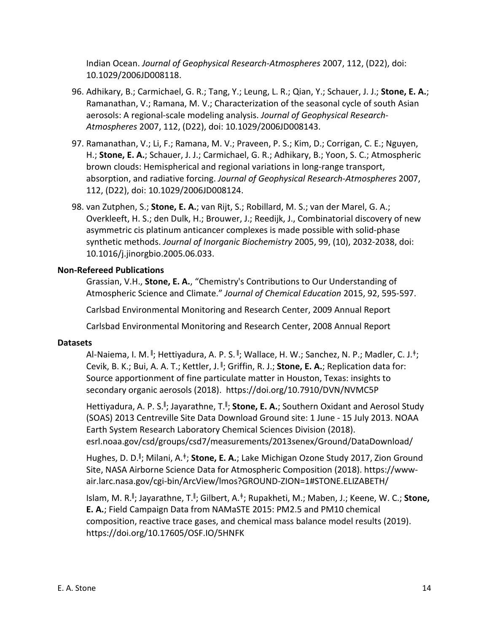Indian Ocean. *Journal of Geophysical Research-Atmospheres* 2007, 112, (D22), doi: 10.1029/2006JD008118.

- 96. Adhikary, B.; Carmichael, G. R.; Tang, Y.; Leung, L. R.; Qian, Y.; Schauer, J. J.; **Stone, E. A.**; Ramanathan, V.; Ramana, M. V.; Characterization of the seasonal cycle of south Asian aerosols: A regional-scale modeling analysis. *Journal of Geophysical Research-Atmospheres* 2007, 112, (D22), doi: 10.1029/2006JD008143.
- 97. Ramanathan, V.; Li, F.; Ramana, M. V.; Praveen, P. S.; Kim, D.; Corrigan, C. E.; Nguyen, H.; **Stone, E. A.**; Schauer, J. J.; Carmichael, G. R.; Adhikary, B.; Yoon, S. C.; Atmospheric brown clouds: Hemispherical and regional variations in long-range transport, absorption, and radiative forcing. *Journal of Geophysical Research-Atmospheres* 2007, 112, (D22), doi: 10.1029/2006JD008124.
- 98. van Zutphen, S.; **Stone, E. A.**; van Rijt, S.; Robillard, M. S.; van der Marel, G. A.; Overkleeft, H. S.; den Dulk, H.; Brouwer, J.; Reedijk, J., Combinatorial discovery of new asymmetric cis platinum anticancer complexes is made possible with solid-phase synthetic methods. *Journal of Inorganic Biochemistry* 2005, 99, (10), 2032-2038, doi: 10.1016/j.jinorgbio.2005.06.033.

# **Non-Refereed Publications**

Grassian, V.H., **Stone, E. A.**, "Chemistry's Contributions to Our Understanding of Atmospheric Science and Climate." *Journal of Chemical Education* 2015, 92, 595-597.

Carlsbad Environmental Monitoring and Research Center, 2009 Annual Report

Carlsbad Environmental Monitoring and Research Center, 2008 Annual Report

## **Datasets**

Al-Naiema, I. M. <sup>∥</sup>; Hettiyadura, A. P. S. <sup>∥</sup>; Wallace, H. W.; Sanchez, N. P.; Madler, C. J.<sup>‡</sup>; Cevik, B. K.; Bui, A. A. T.; Kettler, J. <sup>ǁ</sup> ; Griffin, R. J.; **Stone, E. A.**; Replication data for: Source apportionment of fine particulate matter in Houston, Texas: insights to secondary organic aerosols (2018). https://doi.org/10.7910/DVN/NVMC5P

Hettiyadura, A. P. S.<sup>||</sup>; Jayarathne, T.<sup>||</sup>; **Stone, E. A.**; Southern Oxidant and Aerosol Study (SOAS) 2013 Centreville Site Data Download Ground site: 1 June - 15 July 2013. NOAA Earth System Research Laboratory Chemical Sciences Division (2018). esrl.noaa.gov/csd/groups/csd7/measurements/2013senex/Ground/DataDownload/

Hughes, D. D.<sup>ǁ</sup> ; Milani, A.<sup>ǂ</sup>; **Stone, E. A.**; Lake Michigan Ozone Study 2017, Zion Ground Site, NASA Airborne Science Data for Atmospheric Composition (2018). https://wwwair.larc.nasa.gov/cgi-bin/ArcView/lmos?GROUND-ZION=1#STONE.ELIZABETH/

Islam, M. R.<sup>ǁ</sup> ; Jayarathne, T.<sup>ǁ</sup> ; Gilbert, A.<sup>ǂ</sup>; Rupakheti, M.; Maben, J.; Keene, W. C.; **Stone, E. A.**; Field Campaign Data from NAMaSTE 2015: PM2.5 and PM10 chemical composition, reactive trace gases, and chemical mass balance model results (2019). https://doi.org/10.17605/OSF.IO/5HNFK